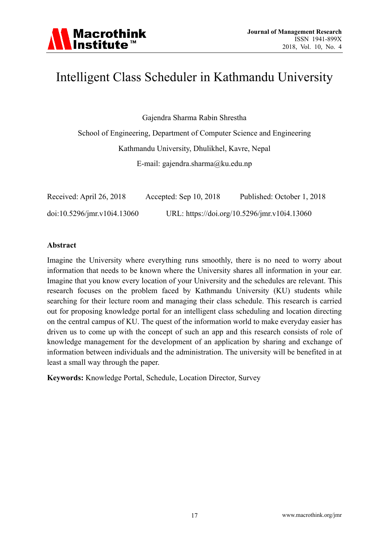

# Intelligent Class Scheduler in Kathmandu University

Gajendra Sharma Rabin Shrestha

School of Engineering, Department of Computer Science and Engineering Kathmandu University, Dhulikhel, Kavre, Nepal E-mail: gajendra.sharma@ku.edu.np

| Received: April 26, 2018           | Accepted: Sep $10, 2018$ | Published: October 1, 2018                   |
|------------------------------------|--------------------------|----------------------------------------------|
| $doi:10.5296/$ jmr.v $10$ i4.13060 |                          | URL: https://doi.org/10.5296/jmr.v10i4.13060 |

#### **Abstract**

Imagine the University where everything runs smoothly, there is no need to worry about information that needs to be known where the University shares all information in your ear. Imagine that you know every location of your University and the schedules are relevant. This research focuses on the problem faced by Kathmandu University (KU) students while searching for their lecture room and managing their class schedule. This research is carried out for proposing knowledge portal for an intelligent class scheduling and location directing on the central campus of KU. The quest of the information world to make everyday easier has driven us to come up with the concept of such an app and this research consists of role of knowledge management for the development of an application by sharing and exchange of information between individuals and the administration. The university will be benefited in at least a small way through the paper.

**Keywords:** Knowledge Portal, Schedule, Location Director, Survey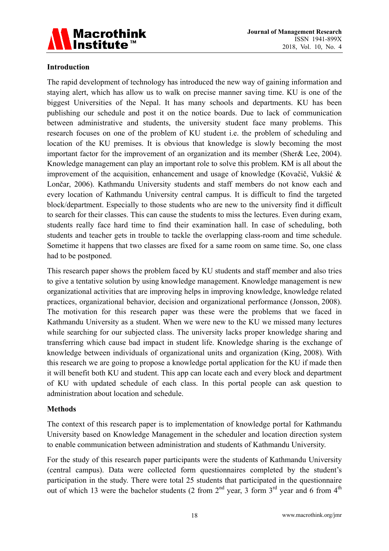

## **Introduction**

The rapid development of technology has introduced the new way of gaining information and staying alert, which has allow us to walk on precise manner saving time. KU is one of the biggest Universities of the Nepal. It has many schools and departments. KU has been publishing our schedule and post it on the notice boards. Due to lack of communication between administrative and students, the university student face many problems. This research focuses on one of the problem of KU student i.e. the problem of scheduling and location of the KU premises. It is obvious that knowledge is slowly becoming the most important factor for the improvement of an organization and its member (Sher& Lee, 2004). Knowledge management can play an important role to solve this problem. KM is all about the improvement of the acquisition, enhancement and usage of knowledge (Kovačič, Vukšić & Lončar, 2006). Kathmandu University students and staff members do not know each and every location of Kathmandu University central campus. It is difficult to find the targeted block/department. Especially to those students who are new to the university find it difficult to search for their classes. This can cause the students to miss the lectures. Even during exam, students really face hard time to find their examination hall. In case of scheduling, both students and teacher gets in trouble to tackle the overlapping class-room and time schedule. Sometime it happens that two classes are fixed for a same room on same time. So, one class had to be postponed.

This research paper shows the problem faced by KU students and staff member and also tries to give a tentative solution by using knowledge management. Knowledge management is new organizational activities that are improving helps in improving knowledge, knowledge related practices, organizational behavior, decision and organizational performance (Jonsson, 2008). The motivation for this research paper was these were the problems that we faced in Kathmandu University as a student. When we were new to the KU we missed many lectures while searching for our subjected class. The university lacks proper knowledge sharing and transferring which cause bad impact in student life. Knowledge sharing is the exchange of knowledge between individuals of organizational units and organization (King, 2008). With this research we are going to propose a knowledge portal application for the KU if made then it will benefit both KU and student. This app can locate each and every block and department of KU with updated schedule of each class. In this portal people can ask question to administration about location and schedule.

## **Methods**

The context of this research paper is to implementation of knowledge portal for Kathmandu University based on Knowledge Management in the scheduler and location direction system to enable communication between administration and students of Kathmandu University.

For the study of this research paper participants were the students of Kathmandu University (central campus). Data were collected form questionnaires completed by the student's participation in the study. There were total 25 students that participated in the questionnaire out of which 13 were the bachelor students (2 from  $2^{nd}$  year, 3 form  $3^{rd}$  year and 6 from  $4^{th}$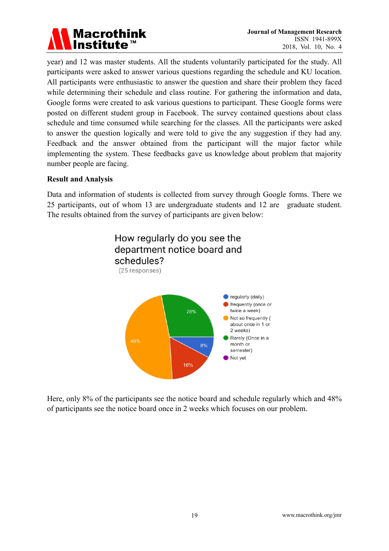

year) and 12 was master students. All the students voluntarily participated for the study. All participants were asked to answer various questions regarding the schedule and KU location. All participants were enthusiastic to answer the question and share their problem they faced while determining their schedule and class routine. For gathering the information and data, Google forms were created to ask various questions to participant. These Google forms were posted on different student group in Facebook. The survey contained questions about class schedule and time consumed while searching for the classes. All the participants were asked to answer the question logically and were told to give the any suggestion if they had any. Feedback and the answer obtained from the participant will the major factor while implementing the system. These feedbacks gave us knowledge about problem that majority number people are facing.

### **Result and Analysis**

Data and information of students is collected from survey through Google forms. There we 25 participants, out of whom 13 are undergraduate students and 12 are graduate student. The results obtained from the survey of participants are given below:



Here, only 8% of the participants see the notice board and schedule regularly which and 48% of participants see the notice board once in 2 weeks which focuses on our problem.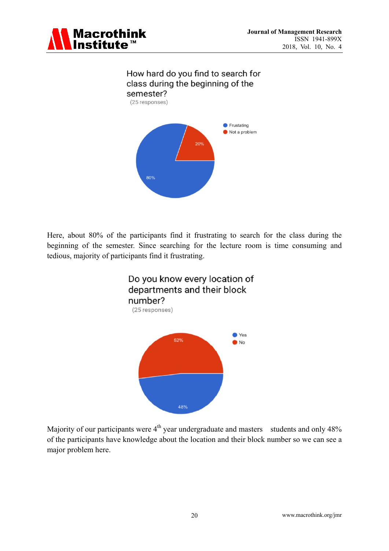



Here, about 80% of the participants find it frustrating to search for the class during the beginning of the semester. Since searching for the lecture room is time consuming and tedious, majority of participants find it frustrating.



Majority of our participants were  $4<sup>th</sup>$  year undergraduate and masters students and only 48% of the participants have knowledge about the location and their block number so we can see a major problem here.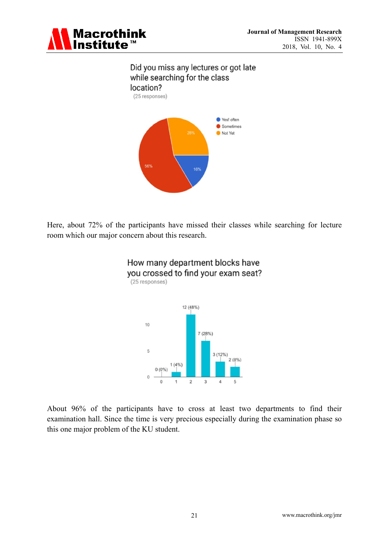

## Did you miss any lectures or got late while searching for the class location? (25 responses)



Here, about 72% of the participants have missed their classes while searching for lecture room which our major concern about this research.



you crossed to find your exam seat? (25 responses)

About 96% of the participants have to cross at least two departments to find their examination hall. Since the time is very precious especially during the examination phase so this one major problem of the KU student.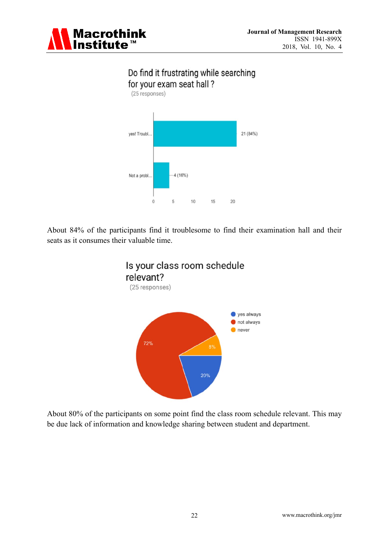





About 84% of the participants find it troublesome to find their examination hall and their seats as it consumes their valuable time.



About 80% of the participants on some point find the class room schedule relevant. This may be due lack of information and knowledge sharing between student and department.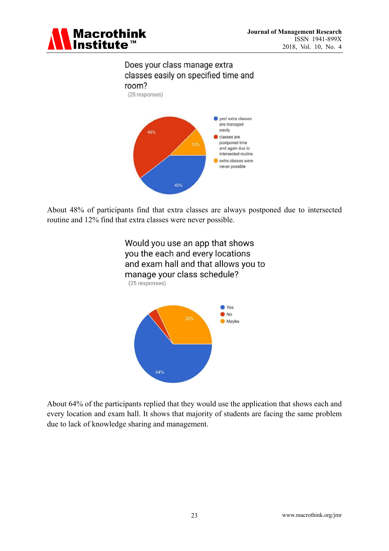







About 48% of participants find that extra classes are always postponed due to intersected routine and 12% find that extra classes were never possible.



About 64% of the participants replied that they would use the application that shows each and every location and exam hall. It shows that majority of students are facing the same problem due to lack of knowledge sharing and management.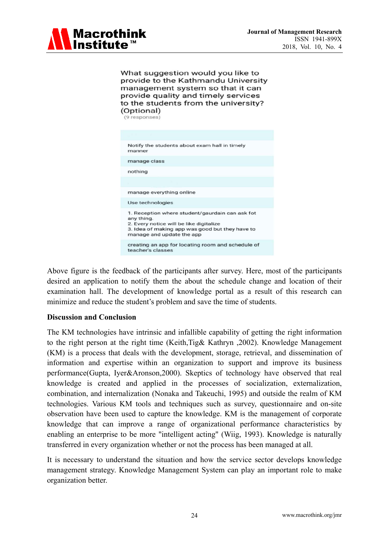

What suggestion would you like to provide to the Kathmandu University management system so that it can provide quality and timely services to the students from the university? (Optional) (9 responses)



Above figure is the feedback of the participants after survey. Here, most of the participants desired an application to notify them the about the schedule change and location of their examination hall. The development of knowledge portal as a result of this research can minimize and reduce the student's problem and save the time of students.

## **Discussion and Conclusion**

The KM technologies have intrinsic and infallible capability of getting the right information to the right person at the right time (Keith,Tig& Kathryn ,2002). Knowledge Management (KM) is a process that deals with the development, storage, retrieval, and dissemination of information and expertise within an organization to support and improve its business performance(Gupta, Iyer&Aronson,2000). Skeptics of technology have observed that real knowledge is created and applied in the processes of socialization, externalization, combination, and internalization (Nonaka and Takeuchi, 1995) and outside the realm of KM technologies. Various KM tools and techniques such as survey, questionnaire and on-site observation have been used to capture the knowledge. KM is the management of corporate knowledge that can improve a range of organizational performance characteristics by enabling an enterprise to be more "intelligent acting" (Wiig, 1993). Knowledge is naturally transferred in every organization whether or not the process has been managed at all.

It is necessary to understand the situation and how the service sector develops knowledge management strategy. Knowledge Management System can play an important role to make organization better.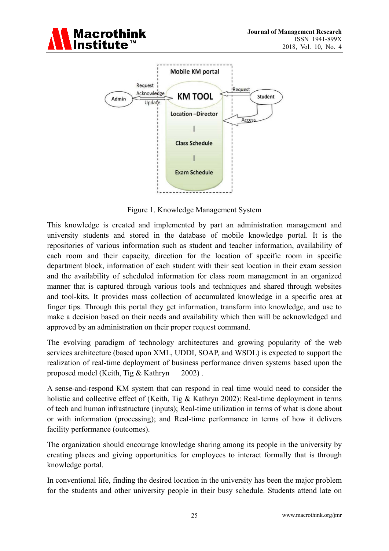



Figure 1. Knowledge Management System

This knowledge is created and implemented by part an administration management and university students and stored in the database of mobile knowledge portal. It is the repositories of various information such as student and teacher information, availability of each room and their capacity, direction for the location of specific room in specific department block, information of each student with their seat location in their exam session and the availability of scheduled information for class room management in an organized manner that is captured through various tools and techniques and shared through websites and tool-kits. It provides mass collection of accumulated knowledge in a specific area at finger tips. Through this portal they get information, transform into knowledge, and use to make a decision based on their needs and availability which then will be acknowledged and approved by an administration on their proper request command.

The evolving paradigm of technology architectures and growing popularity of the web services architecture (based upon XML, UDDI, SOAP, and WSDL) is expected to support the realization of real-time deployment of business performance driven systems based upon the proposed model (Keith, Tig & Kathryn 2002) .

A sense-and-respond KM system that can respond in real time would need to consider the holistic and collective effect of (Keith, Tig & Kathryn 2002): Real-time deployment in terms of tech and human infrastructure (inputs); Real-time utilization in terms of what is done about or with information (processing); and Real-time performance in terms of how it delivers facility performance (outcomes).

The organization should encourage knowledge sharing among its people in the university by creating places and giving opportunities for employees to interact formally that is through knowledge portal.

In conventional life, finding the desired location in the university has been the major problem for the students and other university people in their busy schedule. Students attend late on